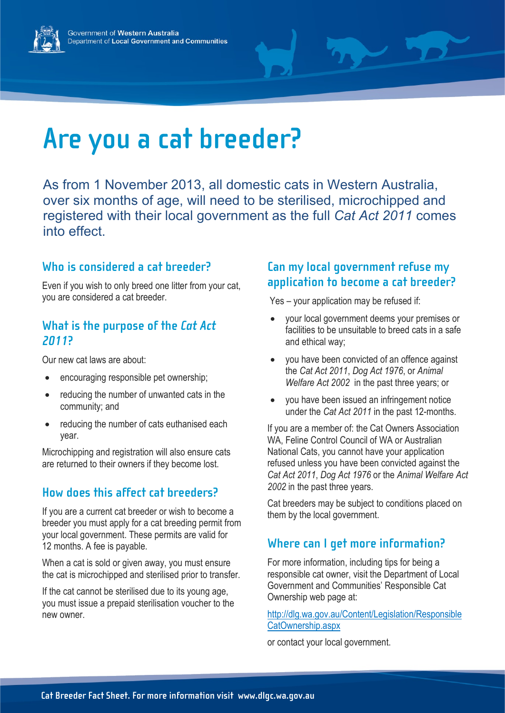



# **Are you a cat breeder?**

As from 1 November 2013, all domestic cats in Western Australia, over six months of age, will need to be sterilised, microchipped and registered with their local government as the full *Cat Act 2011* comes into effect.

#### **Who is considered a cat breeder?**

Even if you wish to only breed one litter from your cat, you are considered a cat breeder.

#### **What is the purpose of the** *Cat Act 2011***?**

Our new cat laws are about:

- encouraging responsible pet ownership;
- reducing the number of unwanted cats in the community; and
- reducing the number of cats euthanised each year.

Microchipping and registration will also ensure cats are returned to their owners if they become lost.

## **How does this affect cat breeders?**

If you are a current cat breeder or wish to become a breeder you must apply for a cat breeding permit from your local government. These permits are valid for 12 months. A fee is payable.

When a cat is sold or given away, you must ensure the cat is microchipped and sterilised prior to transfer.

If the cat cannot be sterilised due to its young age, you must issue a prepaid sterilisation voucher to the new owner.

## **Can my local government refuse my application to become a cat breeder?**

Yes – your application may be refused if:

- your local government deems your premises or facilities to be unsuitable to breed cats in a safe and ethical way;
- you have been convicted of an offence against the *Cat Act 2011*, *Dog Act 1976*, or *Animal Welfare Act 2002* in the past three years; or
- you have been issued an infringement notice under the *Cat Act 2011* in the past 12-months.

If you are a member of: the Cat Owners Association WA, Feline Control Council of WA or Australian National Cats, you cannot have your application refused unless you have been convicted against the *Cat Act 2011*, *Dog Act 1976* or the *Animal Welfare Act 2002* in the past three years.

Cat breeders may be subject to conditions placed on them by the local government.

# **Where can I get more information?**

For more information, including tips for being a responsible cat owner, visit the Department of Local Government and Communities' Responsible Cat Ownership web page at:

[http://dlg.wa.gov.au/Content/Legislation/Responsible](http://dlg.wa.gov.au/Content/Legislation/ResponsibleCatOwnership.aspx) [CatOwnership.aspx](http://dlg.wa.gov.au/Content/Legislation/ResponsibleCatOwnership.aspx) 

or contact your local government.